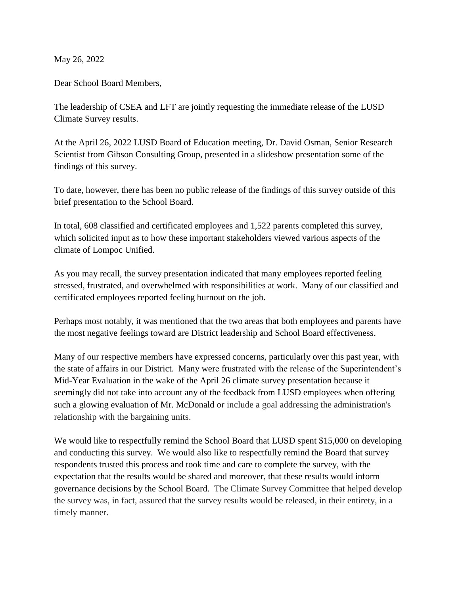May 26, 2022

Dear School Board Members,

The leadership of CSEA and LFT are jointly requesting the immediate release of the LUSD Climate Survey results.

At the April 26, 2022 LUSD Board of Education meeting, Dr. David Osman, Senior Research Scientist from Gibson Consulting Group, presented in a slideshow presentation some of the findings of this survey.

To date, however, there has been no public release of the findings of this survey outside of this brief presentation to the School Board.

In total, 608 classified and certificated employees and 1,522 parents completed this survey, which solicited input as to how these important stakeholders viewed various aspects of the climate of Lompoc Unified.

As you may recall, the survey presentation indicated that many employees reported feeling stressed, frustrated, and overwhelmed with responsibilities at work. Many of our classified and certificated employees reported feeling burnout on the job.

Perhaps most notably, it was mentioned that the two areas that both employees and parents have the most negative feelings toward are District leadership and School Board effectiveness.

Many of our respective members have expressed concerns, particularly over this past year, with the state of affairs in our District. Many were frustrated with the release of the Superintendent's Mid-Year Evaluation in the wake of the April 26 climate survey presentation because it seemingly did not take into account any of the feedback from LUSD employees when offering such a glowing evaluation of Mr. McDonald or include a goal addressing the administration's relationship with the bargaining units.

We would like to respectfully remind the School Board that LUSD spent \$15,000 on developing and conducting this survey. We would also like to respectfully remind the Board that survey respondents trusted this process and took time and care to complete the survey, with the expectation that the results would be shared and moreover, that these results would inform governance decisions by the School Board. The Climate Survey Committee that helped develop the survey was, in fact, assured that the survey results would be released, in their entirety, in a timely manner.